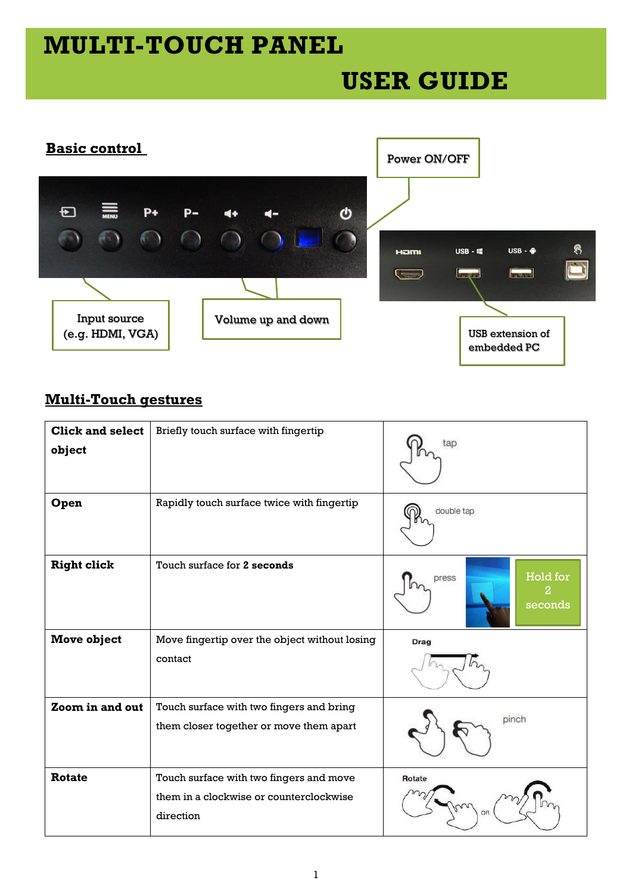# **MULTI-TOUCH PANEL**

## **USER GUIDE**



### **Multi-Touch gestures**

| <b>Click and select</b><br>object | Briefly touch surface with fingertip                                                            | tap                               |
|-----------------------------------|-------------------------------------------------------------------------------------------------|-----------------------------------|
| Open                              | Rapidly touch surface twice with fingertip                                                      | double tap                        |
| <b>Right click</b>                | Touch surface for 2 seconds                                                                     | Hold for<br>press<br>2<br>seconds |
| <b>Move object</b>                | Move fingertip over the object without losing                                                   | Drag                              |
|                                   | contact                                                                                         |                                   |
| Zoom in and out                   | Touch surface with two fingers and bring                                                        |                                   |
|                                   | them closer together or move them apart                                                         | pinch                             |
| <b>Rotate</b>                     | Touch surface with two fingers and move<br>them in a clockwise or counterclockwise<br>direction | Rotate<br>OR                      |
|                                   |                                                                                                 |                                   |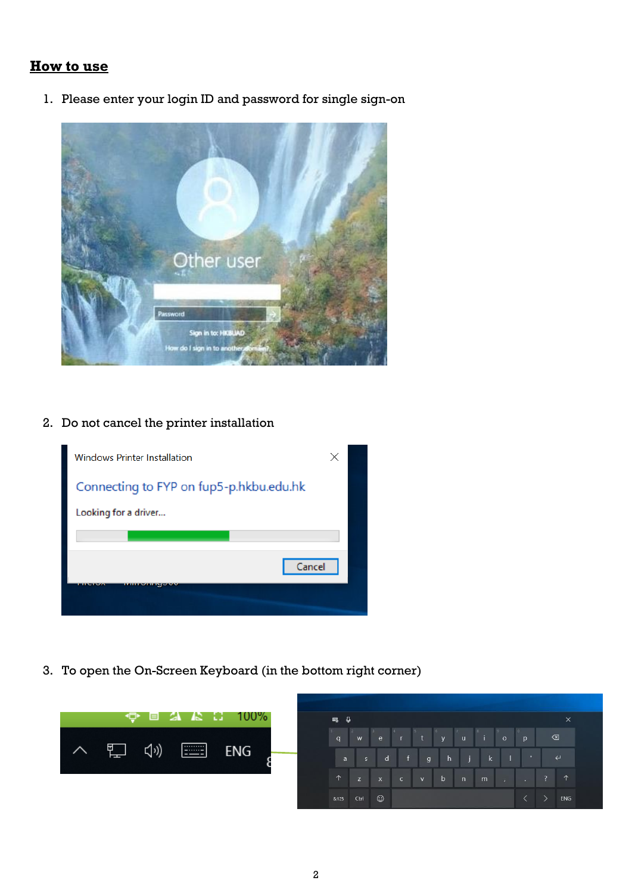#### **How to use**

1. Please enter your login ID and password for single sign-on



#### 2. Do not cancel the printer installation



3. To open the On-Screen Keyboard (in the bottom right corner)